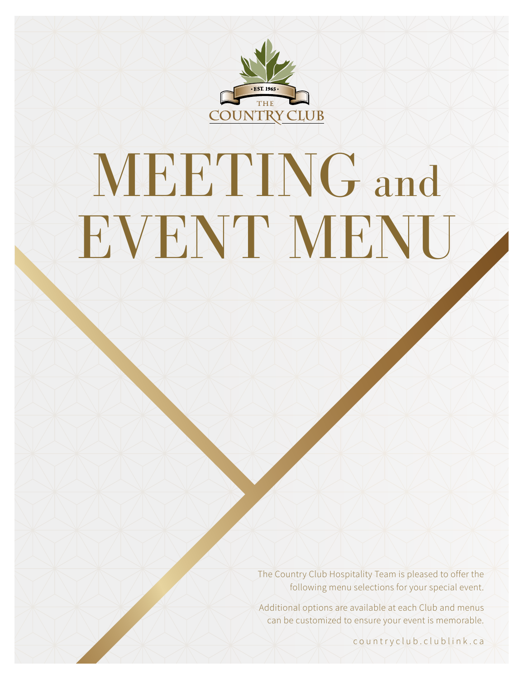

# MEETING and EVENT MENU

The Country Club Hospitality Team is pleased to offer the following menu selections for your special event.

Additional options are available at each Club and menus can be customized to ensure your event is memorable.

countryclub.clublink.ca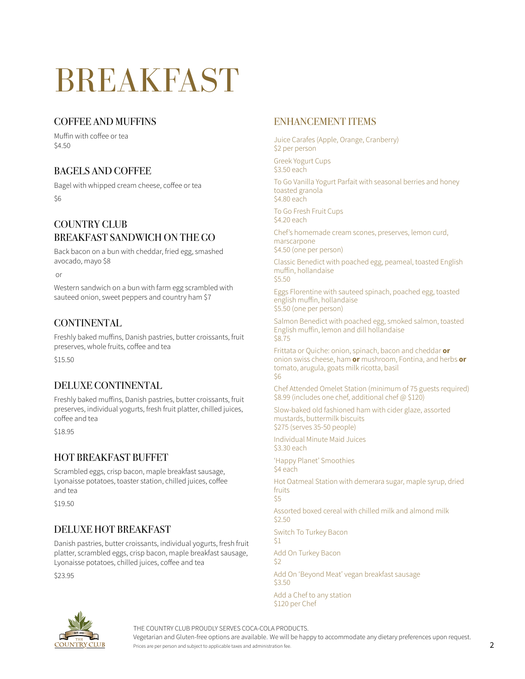## BREAKFAST

#### COFFEE AND MUFFINS

Muffin with coffee or tea \$4.50

#### BAGELS AND COFFEE

Bagel with whipped cream cheese, coffee or tea \$6

#### COUNTRY CLUB BREAKFAST SANDWICH ON THE GO

Back bacon on a bun with cheddar, fried egg, smashed avocado, mayo \$8

or

Western sandwich on a bun with farm egg scrambled with sauteed onion, sweet peppers and country ham \$7

#### **CONTINENTAL**

Freshly baked muffins, Danish pastries, butter croissants, fruit preserves, whole fruits, coffee and tea

\$15.50

#### DELUXE CONTINENTAL

Freshly baked muffins, Danish pastries, butter croissants, fruit preserves, individual yogurts, fresh fruit platter, chilled juices, coffee and tea

\$18.95

#### HOT BREAKFAST BUFFET

Scrambled eggs, crisp bacon, maple breakfast sausage, Lyonaisse potatoes, toaster station, chilled juices, coffee and tea

\$19.50

#### DELUXE HOT BREAKFAST

Danish pastries, butter croissants, individual yogurts, fresh fruit platter, scrambled eggs, crisp bacon, maple breakfast sausage, Lyonaisse potatoes, chilled juices, coffee and tea

\$23.95

#### ENHANCEMENT ITEMS

Juice Carafes (Apple, Orange, Cranberry) \$2 per person

Greek Yogurt Cups \$3.50 each

To Go Vanilla Yogurt Parfait with seasonal berries and honey toasted granola \$4.80 each

To Go Fresh Fruit Cups \$4.20 each

Chef's homemade cream scones, preserves, lemon curd, marscarpone \$4.50 (one per person)

Classic Benedict with poached egg, peameal, toasted English muffin, hollandaise \$5.50

Eggs Florentine with sauteed spinach, poached egg, toasted english muffin, hollandaise \$5.50 (one per person)

Salmon Benedict with poached egg, smoked salmon, toasted English muffin, lemon and dill hollandaise \$8.75

Frittata or Quiche: onion, spinach, bacon and cheddar **or** onion swiss cheese, ham **or** mushroom, Fontina, and herbs **or** tomato, arugula, goats milk ricotta, basil \$6

Chef Attended Omelet Station (minimum of 75 guests required) \$8.99 (includes one chef, additional chef @ \$120)

Slow-baked old fashioned ham with cider glaze, assorted mustards, buttermilk biscuits \$275 (serves 35-50 people)

Individual Minute Maid Juices \$3.30 each

'Happy Planet' Smoothies \$4 each

Hot Oatmeal Station with demerara sugar, maple syrup, dried fruits \$5

Assorted boxed cereal with chilled milk and almond milk  $52.50$ 

Switch To Turkey Bacon \$1

Add On Turkey Bacon \$2

Add On 'Beyond Meat' vegan breakfast sausage  $$3.50$ 

Add a Chef to any station \$120 per Chef



THE COUNTRY CLUB PROUDLY SERVES COCA-COLA PRODUCTS.

Vegetarian and Gluten-free options are available. We will be happy to accommodate any dietary preferences upon request.

Prices are per person and subject to applicable taxes and administration fee.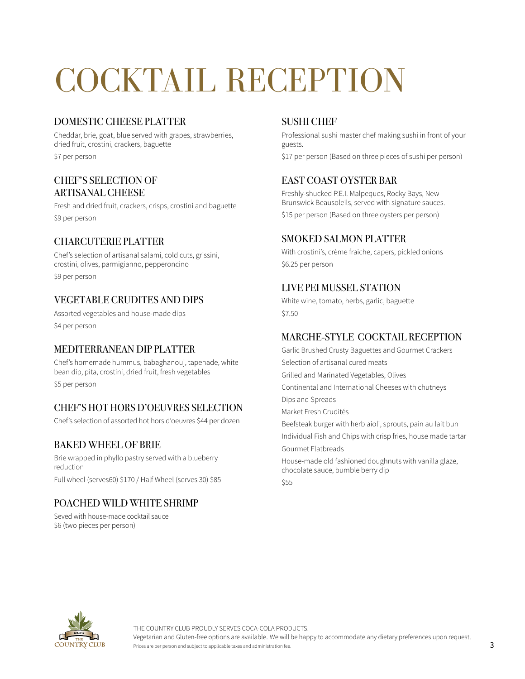# COCKTAIL RECEPTION

#### DOMESTIC CHEESE PLATTER

Cheddar, brie, goat, blue served with grapes, strawberries, dried fruit, crostini, crackers, baguette

\$7 per person

#### CHEF'S SELECTION OF ARTISANAL CHEESE

Fresh and dried fruit, crackers, crisps, crostini and baguette \$9 per person

#### CHARCUTERIE PLATTER

Chef's selection of artisanal salami, cold cuts, grissini, crostini, olives, parmigianno, pepperoncino \$9 per person

#### VEGETABLE CRUDITES AND DIPS

Assorted vegetables and house-made dips \$4 per person

#### MEDITERRANEAN DIP PLATTER

Chef's homemade hummus, babaghanouj, tapenade, white bean dip, pita, crostini, dried fruit, fresh vegetables \$5 per person

#### CHEF'S HOT HORS D'OEUVRES SELECTION

Chef's selection of assorted hot hors d'oeuvres \$44 per dozen

#### BAKED WHEEL OF BRIE

Brie wrapped in phyllo pastry served with a blueberry reduction Full wheel (serves60) \$170 / Half Wheel (serves 30) \$85

#### POACHED WILD WHITE SHRIMP

Seved with house-made cocktail sauce \$6 (two pieces per person)

#### SUSHI CHEF

Professional sushi master chef making sushi in front of your guests.

\$17 per person (Based on three pieces of sushi per person)

#### EAST COAST OYSTER BAR

Freshly-shucked P.E.I. Malpeques, Rocky Bays, New Brunswick Beausoleils, served with signature sauces. \$15 per person (Based on three oysters per person)

#### SMOKED SALMON PLATTER

With crostini's, crème fraiche, capers, pickled onions \$6.25 per person

#### LIVE PEI MUSSEL STATION

White wine, tomato, herbs, garlic, baguette \$7.50

#### MARCHE-STYLE COCKTAIL RECEPTION

Garlic Brushed Crusty Baguettes and Gourmet Crackers Selection of artisanal cured meats Grilled and Marinated Vegetables, Olives Continental and International Cheeses with chutneys Dips and Spreads Market Fresh Crudités Beefsteak burger with herb aioli, sprouts, pain au lait bun Individual Fish and Chips with crisp fries, house made tartar Gourmet Flatbreads House-made old fashioned doughnuts with vanilla glaze, chocolate sauce, bumble berry dip \$55

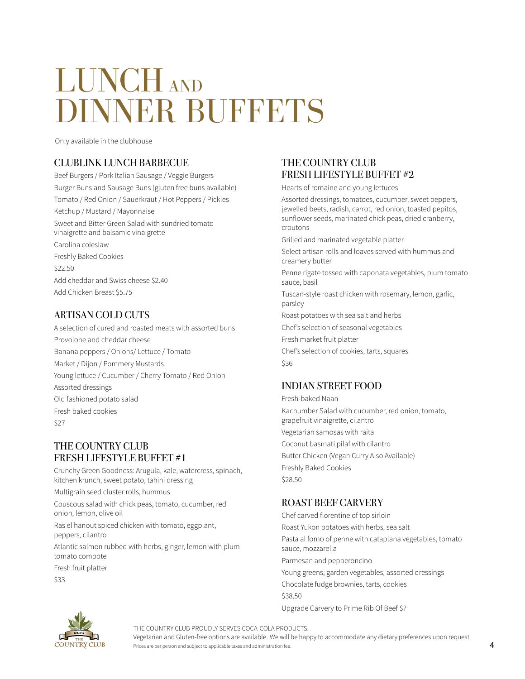### LUNCH AND DINNER BUFFETS

Only available in the clubhouse

#### CLUBLINK LUNCH BARBECUE

Beef Burgers / Pork Italian Sausage / Veggie Burgers Burger Buns and Sausage Buns (gluten free buns available) Tomato / Red Onion / Sauerkraut / Hot Peppers / Pickles Ketchup / Mustard / Mayonnaise Sweet and Bitter Green Salad with sundried tomato vinaigrette and balsamic vinaigrette Carolina coleslaw Freshly Baked Cookies \$22.50 Add cheddar and Swiss cheese \$2.40

Add Chicken Breast \$5.75

#### ARTISAN COLD CUTS

A selection of cured and roasted meats with assorted buns Provolone and cheddar cheese Banana peppers / Onions/ Lettuce / Tomato Market / Dijon / Pommery Mustards Young lettuce / Cucumber / Cherry Tomato / Red Onion Assorted dressings Old fashioned potato salad Fresh baked cookies \$27

#### THE COUNTRY CLUB FRESH LIFESTYLE BUFFET #1

Crunchy Green Goodness: Arugula, kale, watercress, spinach, kitchen krunch, sweet potato, tahini dressing Multigrain seed cluster rolls, hummus Couscous salad with chick peas, tomato, cucumber, red

onion, lemon, olive oil

Ras el hanout spiced chicken with tomato, eggplant, peppers, cilantro

Atlantic salmon rubbed with herbs, ginger, lemon with plum tomato compote

Fresh fruit platter

\$33

#### THE COUNTRY CLUB FRESH LIFESTYLE BUFFET #2

Hearts of romaine and young lettuces

Assorted dressings, tomatoes, cucumber, sweet peppers, jewelled beets, radish, carrot, red onion, toasted pepitos, sunflower seeds, marinated chick peas, dried cranberry, croutons

Grilled and marinated vegetable platter

Select artisan rolls and loaves served with hummus and creamery butter

Penne rigate tossed with caponata vegetables, plum tomato sauce, basil

Tuscan-style roast chicken with rosemary, lemon, garlic, parsley

Roast potatoes with sea salt and herbs

Chef's selection of seasonal vegetables

Fresh market fruit platter

Chef's selection of cookies, tarts, squares \$36

#### INDIAN STREET FOOD

Fresh-baked Naan Kachumber Salad with cucumber, red onion, tomato, grapefruit vinaigrette, cilantro Vegetarian samosas with raita Coconut basmati pilaf with cilantro Butter Chicken (Vegan Curry Also Available) Freshly Baked Cookies \$28.50

#### ROAST BEEF CARVERY

Chef carved florentine of top sirloin Roast Yukon potatoes with herbs, sea salt Pasta al forno of penne with cataplana vegetables, tomato sauce, mozzarella Parmesan and pepperoncino Young greens, garden vegetables, assorted dressings Chocolate fudge brownies, tarts, cookies \$38.50 Upgrade Carvery to Prime Rib Of Beef \$7



THE COUNTRY CLUB PROUDLY SERVES COCA-COLA PRODUCTS.

Vegetarian and Gluten-free options are available. We will be happy to accommodate any dietary preferences upon request.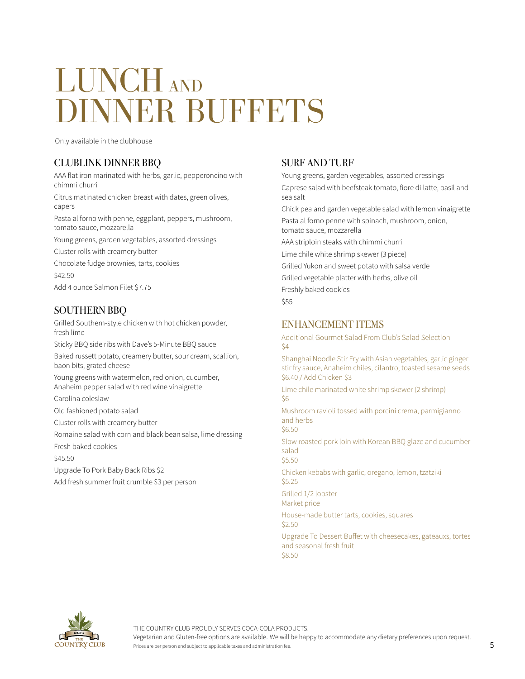### LUNCH AND DINNER BUFFETS

Only available in the clubhouse

#### CLUBLINK DINNER BBQ

AAA flat iron marinated with herbs, garlic, pepperoncino with chimmi churri

Citrus matinated chicken breast with dates, green olives, capers

Pasta al forno with penne, eggplant, peppers, mushroom, tomato sauce, mozzarella

Young greens, garden vegetables, assorted dressings Cluster rolls with creamery butter

Chocolate fudge brownies, tarts, cookies

\$42.50

Add 4 ounce Salmon Filet \$7.75

#### SOUTHERN BBQ

Grilled Southern-style chicken with hot chicken powder, fresh lime

Sticky BBQ side ribs with Dave's 5-Minute BBQ sauce Baked russett potato, creamery butter, sour cream, scallion, baon bits, grated cheese Young greens with watermelon, red onion, cucumber,

Anaheim pepper salad with red wine vinaigrette

Carolina coleslaw

Old fashioned potato salad

Cluster rolls with creamery butter

Romaine salad with corn and black bean salsa, lime dressing Fresh baked cookies

\$45.50

Upgrade To Pork Baby Back Ribs \$2

Add fresh summer fruit crumble \$3 per person

#### SURF AND TURF

Young greens, garden vegetables, assorted dressings Caprese salad with beefsteak tomato, fiore di latte, basil and sea salt Chick pea and garden vegetable salad with lemon vinaigrette Pasta al forno penne with spinach, mushroom, onion, tomato sauce, mozzarella AAA striploin steaks with chimmi churri Lime chile white shrimp skewer (3 piece) Grilled Yukon and sweet potato with salsa verde Grilled vegetable platter with herbs, olive oil Freshly baked cookies \$55

#### ENHANCEMENT ITEMS

Additional Gourmet Salad From Club's Salad Selection \$4

Shanghai Noodle Stir Fry with Asian vegetables, garlic ginger stir fry sauce, Anaheim chiles, cilantro, toasted sesame seeds \$6.40 / Add Chicken \$3

Lime chile marinated white shrimp skewer (2 shrimp) \$6

Mushroom ravioli tossed with porcini crema, parmigianno and herbs

\$6.50

Slow roasted pork loin with Korean BBQ glaze and cucumber salad

\$5.50

Chicken kebabs with garlic, oregano, lemon, tzatziki \$5.25

Grilled 1/2 lobster Market price

House-made butter tarts, cookies, squares \$2.50

Upgrade To Dessert Buffet with cheesecakes, gateauxs, tortes and seasonal fresh fruit \$8.50